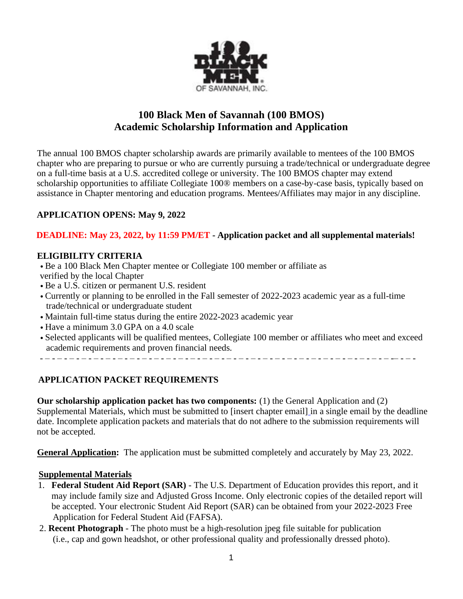

# **100 Black Men of Savannah (100 BMOS) Academic Scholarship Information and Application**

The annual 100 BMOS chapter scholarship awards are primarily available to mentees of the 100 BMOS chapter who are preparing to pursue or who are currently pursuing a trade/technical or undergraduate degree on a full-time basis at a U.S. accredited college or university. The 100 BMOS chapter may extend scholarship opportunities to affiliate Collegiate 100® members on a case-by-case basis, typically based on assistance in Chapter mentoring and education programs. Mentees/Affiliates may major in any discipline.

## **APPLICATION OPENS: May 9, 2022**

## **DEADLINE: May 23, 2022, by 11:59 PM/ET - Application packet and all supplemental materials!**

## **ELIGIBILITY CRITERIA**

• Be a 100 Black Men Chapter mentee or Collegiate 100 member or affiliate as verified by the local Chapter

- Be a U.S. citizen or permanent U.S. resident
- Currently or planning to be enrolled in the Fall semester of 2022-2023 academic year as a full-time trade/technical or undergraduate student
- Maintain full-time status during the entire 2022-2023 academic year
- Have a minimum 3.0 GPA on a 4.0 scale
- Selected applicants will be qualified mentees, Collegiate 100 member or affiliates who meet and exceed academic requirements and proven financial needs.

- – - – - – - – - – - – - – - – - – - – - – - – - – - – - – - – - – - – - – - – - – - – - – - – - – - – - – - – - – -– - – -

## **APPLICATION PACKET REQUIREMENTS**

**Our scholarship application packet has two components:** (1) the General Application and (2) Supplemental Materials, which must be submitted to [insert chapter email] in a single email by the deadline date. Incomplete application packets and materials that do not adhere to the submission requirements will not be accepted.

**General Application:** The application must be submitted completely and accurately by May 23, 2022.

## **Supplemental Materials**

- 1. **Federal Student Aid Report (SAR)**  The U.S. Department of Education provides this report, and it may include family size and Adjusted Gross Income. Only electronic copies of the detailed report will be accepted. Your electronic Student Aid Report (SAR) can be obtained from your 2022-2023 Free Application for Federal Student Aid (FAFSA).
- 2. **Recent Photograph**  The photo must be a high-resolution jpeg file suitable for publication (i.e., cap and gown headshot, or other professional quality and professionally dressed photo).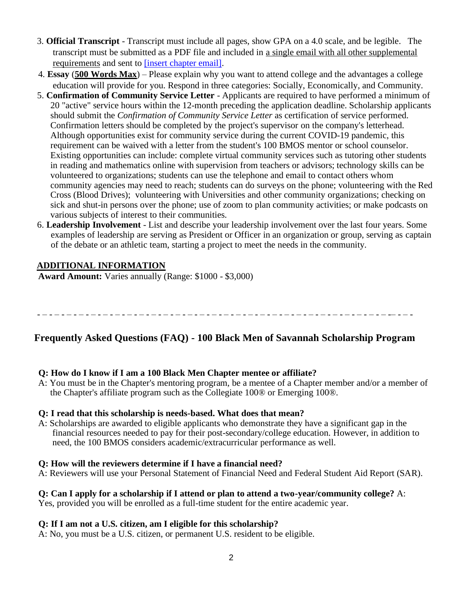- 3. **Official Transcript**  Transcript must include all pages, show GPA on a 4.0 scale, and be legible. The transcript must be submitted as a PDF file and included in a single email with all other supplemental requirements and sent to [insert chapter email].
- 4. **Essay** (**500 Words Max**) Please explain why you want to attend college and the advantages a college education will provide for you. Respond in three categories: Socially, Economically, and Community.
- 5. **Confirmation of Community Service Letter**  Applicants are required to have performed a minimum of 20 "active" service hours within the 12-month preceding the application deadline. Scholarship applicants should submit the *Confirmation of Community Service Letter* as certification of service performed. Confirmation letters should be completed by the project's supervisor on the company's letterhead. Although opportunities exist for community service during the current COVID-19 pandemic, this requirement can be waived with a letter from the student's 100 BMOS mentor or school counselor. Existing opportunities can include: complete virtual community services such as tutoring other students in reading and mathematics online with supervision from teachers or advisors; technology skills can be volunteered to organizations; students can use the telephone and email to contact others whom community agencies may need to reach; students can do surveys on the phone; volunteering with the Red Cross (Blood Drives); volunteering with Universities and other community organizations; checking on sick and shut-in persons over the phone; use of zoom to plan community activities; or make podcasts on various subjects of interest to their communities.
- 6. **Leadership Involvement**  List and describe your leadership involvement over the last four years. Some examples of leadership are serving as President or Officer in an organization or group, serving as captain of the debate or an athletic team, starting a project to meet the needs in the community.

## **ADDITIONAL INFORMATION**

**Award Amount:** Varies annually (Range: \$1000 - \$3,000)

- – - – - – - – - – - – - – - – - – - – - – - – - – - – - – - – - – - – - – - – - – - – - – - – - – - – - – - – - – -– - – -

# **Frequently Asked Questions (FAQ) - 100 Black Men of Savannah Scholarship Program**

## **Q: How do I know if I am a 100 Black Men Chapter mentee or affiliate?**

A: You must be in the Chapter's mentoring program, be a mentee of a Chapter member and/or a member of the Chapter's affiliate program such as the Collegiate 100® or Emerging 100®.

#### **Q: I read that this scholarship is needs-based. What does that mean?**

A: Scholarships are awarded to eligible applicants who demonstrate they have a significant gap in the financial resources needed to pay for their post-secondary/college education. However, in addition to need, the 100 BMOS considers academic/extracurricular performance as well.

#### **Q: How will the reviewers determine if I have a financial need?**

A: Reviewers will use your Personal Statement of Financial Need and Federal Student Aid Report (SAR).

# **Q: Can I apply for a scholarship if I attend or plan to attend a two-year/community college?** A:

Yes, provided you will be enrolled as a full-time student for the entire academic year.

## **Q: If I am not a U.S. citizen, am I eligible for this scholarship?**

A: No, you must be a U.S. citizen, or permanent U.S. resident to be eligible.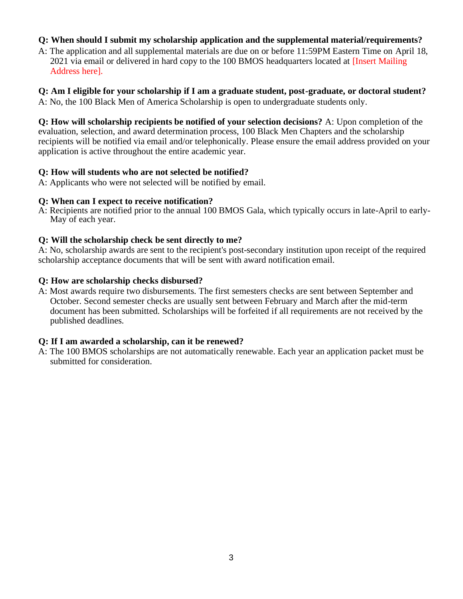### **Q: When should I submit my scholarship application and the supplemental material/requirements?**

A: The application and all supplemental materials are due on or before 11:59PM Eastern Time on April 18, 2021 via email or delivered in hard copy to the 100 BMOS headquarters located at [Insert Mailing Address here].

#### **Q: Am I eligible for your scholarship if I am a graduate student, post-graduate, or doctoral student?**

A: No, the 100 Black Men of America Scholarship is open to undergraduate students only.

**Q: How will scholarship recipients be notified of your selection decisions?** A: Upon completion of the evaluation, selection, and award determination process, 100 Black Men Chapters and the scholarship recipients will be notified via email and/or telephonically. Please ensure the email address provided on your application is active throughout the entire academic year.

#### **Q: How will students who are not selected be notified?**

A: Applicants who were not selected will be notified by email.

#### **Q: When can I expect to receive notification?**

A: Recipients are notified prior to the annual 100 BMOS Gala, which typically occurs in late-April to early-May of each year.

#### **Q: Will the scholarship check be sent directly to me?**

A: No, scholarship awards are sent to the recipient's post-secondary institution upon receipt of the required scholarship acceptance documents that will be sent with award notification email.

#### **Q: How are scholarship checks disbursed?**

A: Most awards require two disbursements. The first semesters checks are sent between September and October. Second semester checks are usually sent between February and March after the mid-term document has been submitted. Scholarships will be forfeited if all requirements are not received by the published deadlines.

## **Q: If I am awarded a scholarship, can it be renewed?**

A: The 100 BMOS scholarships are not automatically renewable. Each year an application packet must be submitted for consideration.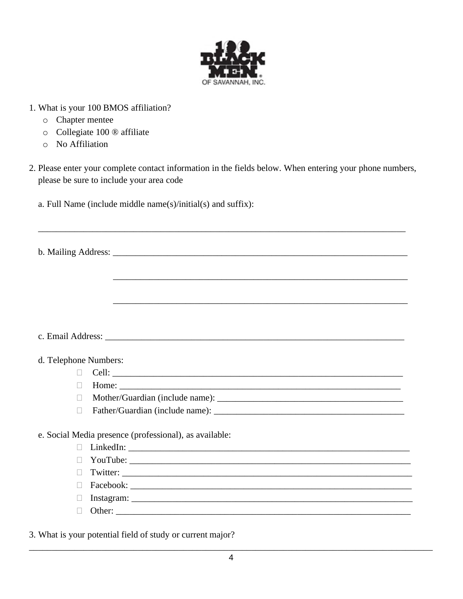

- 1. What is your 100 BMOS affiliation?
	- o Chapter mentee
	- o Collegiate 100 ® affiliate
	- o No Affiliation

2. Please enter your complete contact information in the fields below. When entering your phone numbers, please be sure to include your area code

\_\_\_\_\_\_\_\_\_\_\_\_\_\_\_\_\_\_\_\_\_\_\_\_\_\_\_\_\_\_\_\_\_\_\_\_\_\_\_\_\_\_\_\_\_\_\_\_\_\_\_\_\_\_\_\_\_\_\_\_\_\_\_\_\_\_\_\_\_\_\_\_\_\_\_\_\_\_\_\_\_

a. Full Name (include middle name(s)/initial(s) and suffix):

b. Mailing Address: \_\_\_\_\_\_\_\_\_\_\_\_\_\_\_\_\_\_\_\_\_\_\_\_\_\_\_\_\_\_\_\_\_\_\_\_\_\_\_\_\_\_\_\_\_\_\_\_\_\_\_\_\_\_\_\_\_\_\_\_\_\_\_\_\_ \_\_\_\_\_\_\_\_\_\_\_\_\_\_\_\_\_\_\_\_\_\_\_\_\_\_\_\_\_\_\_\_\_\_\_\_\_\_\_\_\_\_\_\_\_\_\_\_\_\_\_\_\_\_\_\_\_\_\_\_\_\_\_\_\_ \_\_\_\_\_\_\_\_\_\_\_\_\_\_\_\_\_\_\_\_\_\_\_\_\_\_\_\_\_\_\_\_\_\_\_\_\_\_\_\_\_\_\_\_\_\_\_\_\_\_\_\_\_\_\_\_\_\_\_\_\_\_\_\_\_ c. Email Address: \_\_\_\_\_\_\_\_\_\_\_\_\_\_\_\_\_\_\_\_\_\_\_\_\_\_\_\_\_\_\_\_\_\_\_\_\_\_\_\_\_\_\_\_\_\_\_\_\_\_\_\_\_\_\_\_\_\_\_\_\_\_\_\_\_\_ d. Telephone Numbers:  $\Box$  Cell: Home: \_\_\_\_\_\_\_\_\_\_\_\_\_\_\_\_\_\_\_\_\_\_\_\_\_\_\_\_\_\_\_\_\_\_\_\_\_\_\_\_\_\_\_\_\_\_\_\_\_\_\_\_\_\_\_\_\_\_\_\_\_\_ Mother/Guardian (include name): \_\_\_\_\_\_\_\_\_\_\_\_\_\_\_\_\_\_\_\_\_\_\_\_\_\_\_\_\_\_\_\_\_\_\_\_\_\_\_\_\_ Father/Guardian (include name): \_\_\_\_\_\_\_\_\_\_\_\_\_\_\_\_\_\_\_\_\_\_\_\_\_\_\_\_\_\_\_\_\_\_\_\_\_\_\_\_\_\_ e. Social Media presence (professional), as available: LinkedIn: \_\_\_\_\_\_\_\_\_\_\_\_\_\_\_\_\_\_\_\_\_\_\_\_\_\_\_\_\_\_\_\_\_\_\_\_\_\_\_\_\_\_\_\_\_\_\_\_\_\_\_\_\_\_\_\_\_\_\_\_\_\_ YouTube: \_\_\_\_\_\_\_\_\_\_\_\_\_\_\_\_\_\_\_\_\_\_\_\_\_\_\_\_\_\_\_\_\_\_\_\_\_\_\_\_\_\_\_\_\_\_\_\_\_\_\_\_\_\_\_\_\_\_\_\_\_\_  $\Box$  Twitter: Facebook: \_\_\_\_\_\_\_\_\_\_\_\_\_\_\_\_\_\_\_\_\_\_\_\_\_\_\_\_\_\_\_\_\_\_\_\_\_\_\_\_\_\_\_\_\_\_\_\_\_\_\_\_\_\_\_\_\_\_\_\_\_\_ Instagram: \_\_\_\_\_\_\_\_\_\_\_\_\_\_\_\_\_\_\_\_\_\_\_\_\_\_\_\_\_\_\_\_\_\_\_\_\_\_\_\_\_\_\_\_\_\_\_\_\_\_\_\_\_\_\_\_\_\_\_\_\_\_ Other: \_\_\_\_\_\_\_\_\_\_\_\_\_\_\_\_\_\_\_\_\_\_\_\_\_\_\_\_\_\_\_\_\_\_\_\_\_\_\_\_\_\_\_\_\_\_\_\_\_\_\_\_\_\_\_\_\_\_\_\_\_\_\_\_\_

3. What is your potential field of study or current major?